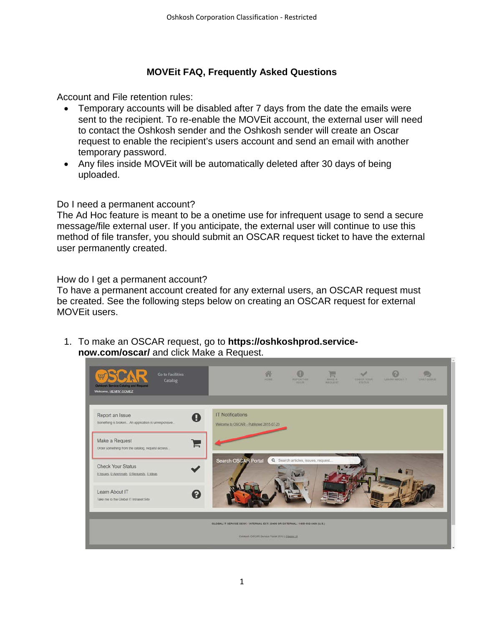## **MOVEit FAQ, Frequently Asked Questions**

Account and File retention rules:

- Temporary accounts will be disabled after 7 days from the date the emails were sent to the recipient. To re-enable the MOVEit account, the external user will need to contact the Oshkosh sender and the Oshkosh sender will create an Oscar request to enable the recipient's users account and send an email with another temporary password.
- Any files inside MOVEit will be automatically deleted after 30 days of being uploaded.

### Do I need a permanent account?

The Ad Hoc feature is meant to be a onetime use for infrequent usage to send a secure message/file external user. If you anticipate, the external user will continue to use this method of file transfer, you should submit an OSCAR request ticket to have the external user permanently created.

#### How do I get a permanent account?

To have a permanent account created for any external users, an OSCAR request must be created. See the following steps below on creating an OSCAR request for external MOVEit users.

1. To make an OSCAR request, go to **[https://oshkoshprod.service](https://oshkoshprod.service-now.com/oscar/)[now.com/oscar/](https://oshkoshprod.service-now.com/oscar/)** and click Make a Request.

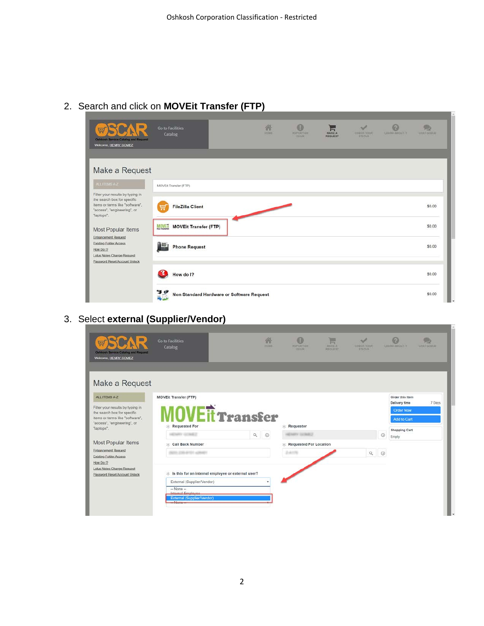## 2. Search and click on **MOVEit Transfer (FTP)**



# 3. Select **external (Supplier/Vendor)**

| 崗<br>Oshkosh Service Catalog and Request<br>Welcome, HENRY GOMEZ  | 録<br><b>Go to Facilities</b><br><b>HOME</b><br>Catalog  | 0<br><b>WEFORT AN</b><br><b>IREUS</b> | Ħ<br>MARE A<br><b>HEQUEST</b> | A<br><b>CHECK YOUR</b><br><b>STATUS</b> |         | $\odot$<br>LEASIN ABOUT IT       | <b>GRATISTIE</b> |
|-------------------------------------------------------------------|---------------------------------------------------------|---------------------------------------|-------------------------------|-----------------------------------------|---------|----------------------------------|------------------|
| Make a Request                                                    |                                                         |                                       |                               |                                         |         |                                  |                  |
| ALL ITEMS A-Z                                                     | <b>MOVEIt Transfer (FTP)</b>                            |                                       |                               |                                         |         | Order this Item<br>Delivery time | 7 Days           |
| Filter your results by typing in<br>the search box for specific   | <b>NEit Transfer</b>                                    |                                       |                               |                                         |         | Order Now                        |                  |
| items or terms like "software".                                   |                                                         |                                       |                               |                                         |         | Add to Cart                      |                  |
| "access", "engineering", or<br>"laptops".                         | <b>Requested For</b>                                    | Requestor<br>家                        |                               |                                         |         | <b>Shopping Cart</b>             |                  |
|                                                                   | $Q_0$<br><b>ENRY GONEZ</b>                              | <b>ADAMY GONES</b>                    |                               |                                         | $\odot$ | Empty                            |                  |
| <b>Most Popular Items</b>                                         | Call Back Number                                        | <b>Requested For Location</b><br>tk.  |                               |                                         |         |                                  |                  |
| <b>Enhancement Request</b><br>Existing Folder Access<br>How Do 12 | THE 2780-WITH ASSAULT                                   | 24176                                 |                               | $Q \n0$                                 |         |                                  |                  |
| Lotus Notes Change Request<br>Password Reset/Account Unlock       | Is this for an internal employee or external user?<br>× |                                       |                               |                                         |         |                                  |                  |
|                                                                   | External (Supplier/Vendor)<br>٠                         |                                       |                               |                                         |         |                                  |                  |
|                                                                   | $-$ None $-$<br>Internal-Employee                       |                                       |                               |                                         |         |                                  |                  |
|                                                                   | External (Supplier/Vendor)<br>-None-                    |                                       |                               |                                         |         |                                  |                  |
|                                                                   |                                                         |                                       |                               |                                         |         |                                  |                  |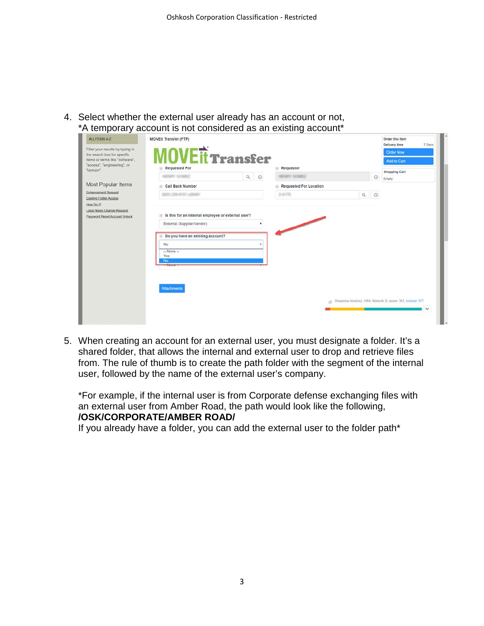4. Select whether the external user already has an account or not, \*A temporary account is not considered as an existing account\*

| Filter your results by typing in<br><b>MOVEIT Transfer</b><br>Order Now<br>the search box for specific<br>items or terms like "software",<br>Add to Cart<br>"access", "engineering", or<br>$\angle$ Requested For<br>$*$ Requestor<br>"laptops".<br><b>Shopping Cart</b><br>$Q$ $Q$<br><b>EXITY GONEZ</b><br>NEY GONEZ<br>$\odot$<br>Empty<br>Most Popular Items<br>Call Back Number<br><b>Requested For Location</b><br>Enhancement Request<br>$Q = \begin{pmatrix} 0 \\ 0 \\ 0 \end{pmatrix}$<br>2415<br>III: 250-4701 <shht<br>Existing Folder Access<br/>How Do 12<br/>Lotus Notes Change Request<br/>ik Is this for an internal employee or external user?<br/>Password Reset/Account Unlock<br/>External (Supplier/Vendor)<br/>Do you have an existing account?<br/>No<br/><math>-</math> None <math>-</math><br/>Yes<br/>No</shht<br> | ALL ITEMS A-Z | <b>MOVEIt Transfer (FTP)</b> |  |  | Order this Item<br>7 Days<br>Delivery time |
|----------------------------------------------------------------------------------------------------------------------------------------------------------------------------------------------------------------------------------------------------------------------------------------------------------------------------------------------------------------------------------------------------------------------------------------------------------------------------------------------------------------------------------------------------------------------------------------------------------------------------------------------------------------------------------------------------------------------------------------------------------------------------------------------------------------------------------------------|---------------|------------------------------|--|--|--------------------------------------------|
|                                                                                                                                                                                                                                                                                                                                                                                                                                                                                                                                                                                                                                                                                                                                                                                                                                              |               |                              |  |  |                                            |
|                                                                                                                                                                                                                                                                                                                                                                                                                                                                                                                                                                                                                                                                                                                                                                                                                                              |               |                              |  |  |                                            |
|                                                                                                                                                                                                                                                                                                                                                                                                                                                                                                                                                                                                                                                                                                                                                                                                                                              |               |                              |  |  |                                            |
|                                                                                                                                                                                                                                                                                                                                                                                                                                                                                                                                                                                                                                                                                                                                                                                                                                              |               |                              |  |  |                                            |
|                                                                                                                                                                                                                                                                                                                                                                                                                                                                                                                                                                                                                                                                                                                                                                                                                                              |               |                              |  |  |                                            |
|                                                                                                                                                                                                                                                                                                                                                                                                                                                                                                                                                                                                                                                                                                                                                                                                                                              |               |                              |  |  |                                            |
|                                                                                                                                                                                                                                                                                                                                                                                                                                                                                                                                                                                                                                                                                                                                                                                                                                              |               |                              |  |  |                                            |
|                                                                                                                                                                                                                                                                                                                                                                                                                                                                                                                                                                                                                                                                                                                                                                                                                                              |               |                              |  |  |                                            |
|                                                                                                                                                                                                                                                                                                                                                                                                                                                                                                                                                                                                                                                                                                                                                                                                                                              |               |                              |  |  |                                            |
|                                                                                                                                                                                                                                                                                                                                                                                                                                                                                                                                                                                                                                                                                                                                                                                                                                              |               |                              |  |  |                                            |
|                                                                                                                                                                                                                                                                                                                                                                                                                                                                                                                                                                                                                                                                                                                                                                                                                                              |               | - None -                     |  |  |                                            |
|                                                                                                                                                                                                                                                                                                                                                                                                                                                                                                                                                                                                                                                                                                                                                                                                                                              |               | <b>Attachments</b>           |  |  |                                            |
|                                                                                                                                                                                                                                                                                                                                                                                                                                                                                                                                                                                                                                                                                                                                                                                                                                              |               |                              |  |  |                                            |
|                                                                                                                                                                                                                                                                                                                                                                                                                                                                                                                                                                                                                                                                                                                                                                                                                                              |               |                              |  |  | $\checkmark$                               |
| Response time(ms): 1064, Network: 6, server: 381, browser: 677<br>dt.                                                                                                                                                                                                                                                                                                                                                                                                                                                                                                                                                                                                                                                                                                                                                                        |               |                              |  |  |                                            |

5. When creating an account for an external user, you must designate a folder. It's a shared folder, that allows the internal and external user to drop and retrieve files from. The rule of thumb is to create the path folder with the segment of the internal user, followed by the name of the external user's company.

\*For example, if the internal user is from Corporate defense exchanging files with an external user from Amber Road, the path would look like the following, **/OSK/CORPORATE/AMBER ROAD/**

If you already have a folder, you can add the external user to the folder path\*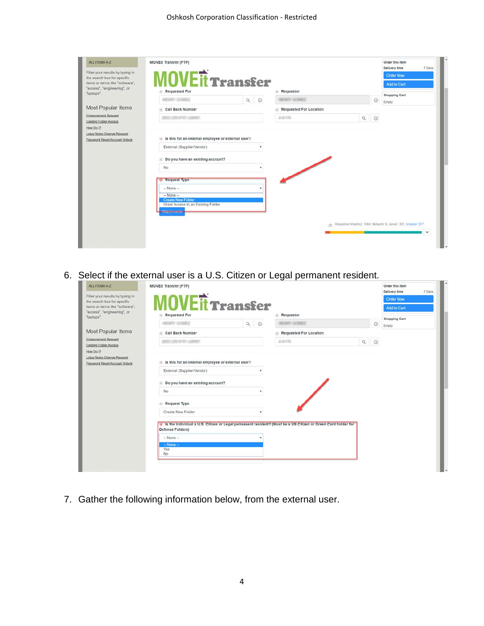| ALL ITEMS A-Z                                                   | <b>MOVEIt Transfer (FTP)</b>                             |                                                       |                               |                                                          | Order this item<br>Delivery time<br>7 Days                     |
|-----------------------------------------------------------------|----------------------------------------------------------|-------------------------------------------------------|-------------------------------|----------------------------------------------------------|----------------------------------------------------------------|
| Filter your results by typing in<br>the search box for specific |                                                          |                                                       |                               |                                                          | <b>Order Now</b>                                               |
| items or terms like "software",                                 | <b>IOVEIT Transfer</b>                                   |                                                       |                               |                                                          | Add to Cart                                                    |
| "access", "engineering", or<br>"laptops".                       | $\angle$ Requested For                                   |                                                       | $*$ Requestor                 |                                                          | <b>Shopping Cart</b>                                           |
|                                                                 | <b>NEMIXY SCAREZ</b>                                     | $\begin{matrix} \mathbb{Q} & \mathbb{Q} \end{matrix}$ | THEY IS THE ?                 | $\odot$                                                  | Empty                                                          |
| Most Popular Items                                              | Call Back Number                                         |                                                       | <b>Requested For Location</b> |                                                          |                                                                |
| Enhancement Request                                             | LEBANS / LEMIN                                           |                                                       | 2,61%                         | $\begin{array}{c c} \mathbb{Q} & \mathbb{Q} \end{array}$ |                                                                |
| Existing Folder Access<br>How Do 12                             |                                                          |                                                       |                               |                                                          |                                                                |
| Lotus Notes Change Request                                      |                                                          |                                                       |                               |                                                          |                                                                |
| Password Reset/Account Unlock                                   | $\pm$ Is this for an internal employee or external user? |                                                       |                               |                                                          |                                                                |
|                                                                 | External (Supplier/Vendor)                               |                                                       |                               |                                                          |                                                                |
|                                                                 | Co you have an existing account?                         |                                                       |                               |                                                          |                                                                |
|                                                                 |                                                          |                                                       |                               |                                                          |                                                                |
|                                                                 | No                                                       |                                                       |                               |                                                          |                                                                |
|                                                                 | <b>Request Type</b>                                      |                                                       |                               |                                                          |                                                                |
|                                                                 | $-$ None $-$                                             |                                                       |                               |                                                          |                                                                |
|                                                                 | $-$ None $-$                                             |                                                       |                               |                                                          |                                                                |
|                                                                 | <b>Create New Folder</b>                                 |                                                       |                               |                                                          |                                                                |
|                                                                 | Grant Access to an Existing Folder                       |                                                       |                               |                                                          |                                                                |
|                                                                 | Akkashments i                                            |                                                       |                               |                                                          |                                                                |
|                                                                 |                                                          |                                                       |                               |                                                          | ch Response time(ms) 1064, Network 6, server: 381, browser 677 |
|                                                                 |                                                          |                                                       |                               |                                                          | $\checkmark$                                                   |

6. Select if the external user is a U.S. Citizen or Legal permanent resident.

| ALL ITEMS A-Z                                                   | <b>MOVEIt Transfer (FTP)</b>                             |  |         |                                                                                                                |         | Order this item<br>Delivery time | 7 Days |
|-----------------------------------------------------------------|----------------------------------------------------------|--|---------|----------------------------------------------------------------------------------------------------------------|---------|----------------------------------|--------|
| Filter your results by typing in<br>the search box for specific | <b>INVEIT Transfer</b>                                   |  |         |                                                                                                                |         | <b>Order Now</b>                 |        |
| items or terms like "software",<br>"access", "engineering", or  |                                                          |  |         |                                                                                                                |         | Add to Cart                      |        |
| "laptops".                                                      | $\angle$ Requested For                                   |  |         | $\angle$ Requestor                                                                                             |         | <b>Shopping Cart</b>             |        |
|                                                                 | ENRY STMCZ                                               |  | $Q$ $Q$ | <b>NEWART GONNER</b>                                                                                           | $\odot$ | Empty                            |        |
| Most Popular Items                                              | Call Back Number                                         |  |         | <b>Requested For Location</b>                                                                                  |         |                                  |        |
| Enhancement Request<br>Existing Folder Access<br>How Do 12      | 200-AHST LONGER                                          |  |         | <b>Junits</b>                                                                                                  | $Q$ $Q$ |                                  |        |
| Lotus Notes Change Request<br>Password Reset/Account Unlock     | $\pm$ Is this for an internal employee or external user? |  |         |                                                                                                                |         |                                  |        |
|                                                                 | External (Supplier/Vendor)                               |  |         |                                                                                                                |         |                                  |        |
|                                                                 | Do you have an existing account?                         |  |         |                                                                                                                |         |                                  |        |
|                                                                 | No                                                       |  |         |                                                                                                                |         |                                  |        |
|                                                                 | <b>Request Type</b>                                      |  |         |                                                                                                                |         |                                  |        |
|                                                                 | Create New Folder                                        |  |         |                                                                                                                |         |                                  |        |
|                                                                 | Defense Folders)                                         |  |         | * Is the individual a U.S. Citizen or Legal permanent resident? (Must be a US Citizen or Green Card holder for |         |                                  |        |
|                                                                 | $-$ None $-$                                             |  |         |                                                                                                                |         |                                  |        |
|                                                                 | $-$ None $-$<br>Yes<br>No                                |  |         |                                                                                                                |         |                                  |        |
|                                                                 |                                                          |  |         |                                                                                                                |         |                                  |        |

7. Gather the following information below, from the external user.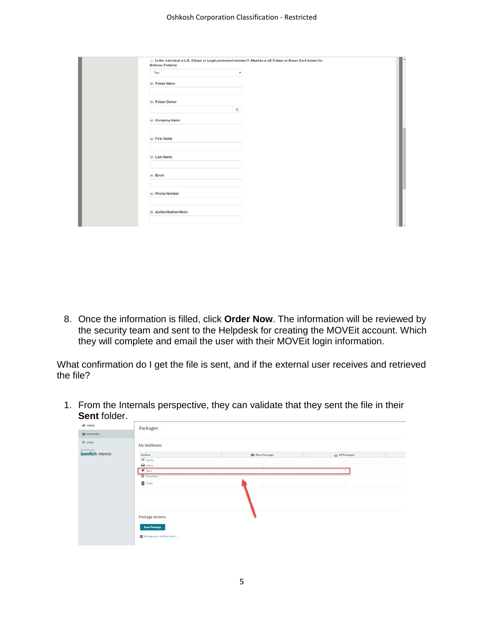#### Oshkosh Corporation Classification - Restricted

| Defense Folders)<br>Yes |          |  |
|-------------------------|----------|--|
| * Folder Name           |          |  |
| * Folder Owner          |          |  |
|                         | $\alpha$ |  |
| $*$ Company Name        |          |  |
| $*$ First Name          |          |  |
| * Last Name             |          |  |
| $\star$ Email           |          |  |
| $\star$ Phone Number    |          |  |
| * Authentication Word   |          |  |

8. Once the information is filled, click **Order Now**. The information will be reviewed by the security team and sent to the Helpdesk for creating the MOVEit account. Which they will complete and email the user with their MOVEit login information.

What confirmation do I get the file is sent, and if the external user receives and retrieved the file?

1. From the Internals perspective, they can validate that they sent the file in their **Sent** folder.

| <b># HOME</b>      | Packages                                                           |                        |                                                                     |
|--------------------|--------------------------------------------------------------------|------------------------|---------------------------------------------------------------------|
| <b>EN PACKAGES</b> |                                                                    |                        |                                                                     |
| $\equiv$ 1065      | My Mailboxes                                                       |                        |                                                                     |
| ipswitch MOVEIT    | Mailbox                                                            | <b>ES</b> New Packages | C All Packages                                                      |
|                    | De Drafts                                                          | $\lambda$              | $\sim$                                                              |
|                    | $Q$ inbox                                                          |                        | $\frac{1}{2} \left( \frac{1}{2} \right) \left( \frac{1}{2} \right)$ |
|                    | $\blacktriangledown$ Sent.                                         | $\sim$                 |                                                                     |
|                    | <b>El</b> Templates                                                | ×                      |                                                                     |
|                    | Trash                                                              | ×                      | $\sim$                                                              |
|                    | Package Actions<br><b>Send Package</b><br>Manage your address book |                        |                                                                     |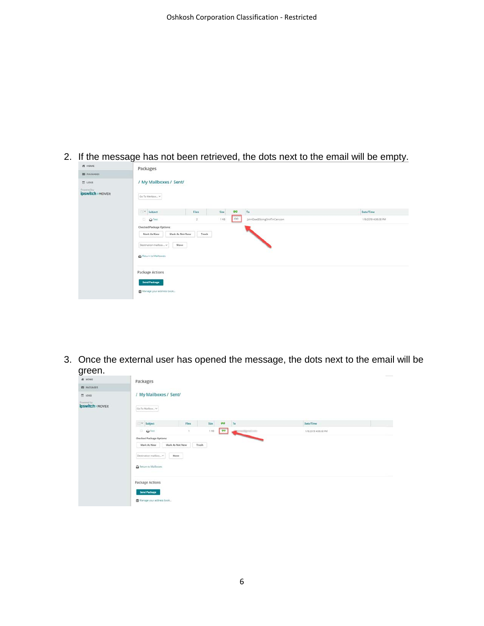2. If the message has not been retrieved, the dots next to the email will be empty.

| <b>ES PACKAGES</b><br>$\equiv$ 1065 | / My Mailboxes / Sent/                                                                       |              |                 |                             |                     |
|-------------------------------------|----------------------------------------------------------------------------------------------|--------------|-----------------|-----------------------------|---------------------|
| ipswitch MOVEIt                     | Go To Malbox v                                                                               |              |                 |                             |                     |
|                                     | $\Box \searrow$ Subject                                                                      | Files        | $\circ$<br>Size | $\mathsf{T}\alpha$          | Date/Time           |
|                                     | $\Box$ O Test                                                                                | $\mathbf{2}$ | co.<br>1 KB     | JohnDoe@StringOnATinCan.com | 1/9/2019 4:06:58 PM |
|                                     | Checked Package Options:<br>Mark As New<br>Mark As Not New<br>Destination mailbox v<br>Move: | Trash        |                 |                             |                     |
|                                     | Return to Malboxes<br>Package Actions                                                        |              |                 |                             |                     |
|                                     | <b>Send Package</b>                                                                          |              |                 |                             |                     |

3. Once the external user has opened the message, the dots next to the email will be green.

| <b>IN ONE</b>      | Packages                        |                 |             |                                   |                     | $\frac{1}{2} \left( \frac{1}{2} \right) \left( \frac{1}{2} \right) \left( \frac{1}{2} \right) \left( \frac{1}{2} \right) \left( \frac{1}{2} \right) \left( \frac{1}{2} \right) \left( \frac{1}{2} \right) \left( \frac{1}{2} \right) \left( \frac{1}{2} \right) \left( \frac{1}{2} \right) \left( \frac{1}{2} \right) \left( \frac{1}{2} \right) \left( \frac{1}{2} \right) \left( \frac{1}{2} \right) \left( \frac{1}{2} \right) \left( \frac{1}{2} \right) \left( \frac$ |
|--------------------|---------------------------------|-----------------|-------------|-----------------------------------|---------------------|----------------------------------------------------------------------------------------------------------------------------------------------------------------------------------------------------------------------------------------------------------------------------------------------------------------------------------------------------------------------------------------------------------------------------------------------------------------------------|
| <b>ED PACKAGES</b> |                                 |                 |             |                                   |                     |                                                                                                                                                                                                                                                                                                                                                                                                                                                                            |
| 图 LOGS:            | / My Mailboxes / Sent/          |                 |             |                                   |                     |                                                                                                                                                                                                                                                                                                                                                                                                                                                                            |
| ipswitch > MOVEIt  | Go To Malbox ~                  |                 |             |                                   |                     |                                                                                                                                                                                                                                                                                                                                                                                                                                                                            |
|                    | $\hfill\sim\;$ Subject          | Files           | <b>Size</b> | $\bullet\bullet$<br>To            | Date/Time           |                                                                                                                                                                                                                                                                                                                                                                                                                                                                            |
|                    | $\Box$ $\Omega$ Test            | $\sim$          | 1.88        | $\bullet$<br><b>Configuration</b> | 1/9/2019 4 05:50 PM |                                                                                                                                                                                                                                                                                                                                                                                                                                                                            |
|                    | <b>Checked Package Options:</b> |                 |             |                                   |                     |                                                                                                                                                                                                                                                                                                                                                                                                                                                                            |
|                    | Mark As New                     | Mark As Not New | Trash       |                                   |                     |                                                                                                                                                                                                                                                                                                                                                                                                                                                                            |
|                    | Destination mailbox v           | Move.           |             |                                   |                     |                                                                                                                                                                                                                                                                                                                                                                                                                                                                            |
|                    | <b>Q</b> Return to Malboxes     |                 |             |                                   |                     |                                                                                                                                                                                                                                                                                                                                                                                                                                                                            |
|                    | Package Actions                 |                 |             |                                   |                     |                                                                                                                                                                                                                                                                                                                                                                                                                                                                            |
|                    | Send Package                    |                 |             |                                   |                     |                                                                                                                                                                                                                                                                                                                                                                                                                                                                            |
|                    | Manage your address book        |                 |             |                                   |                     |                                                                                                                                                                                                                                                                                                                                                                                                                                                                            |